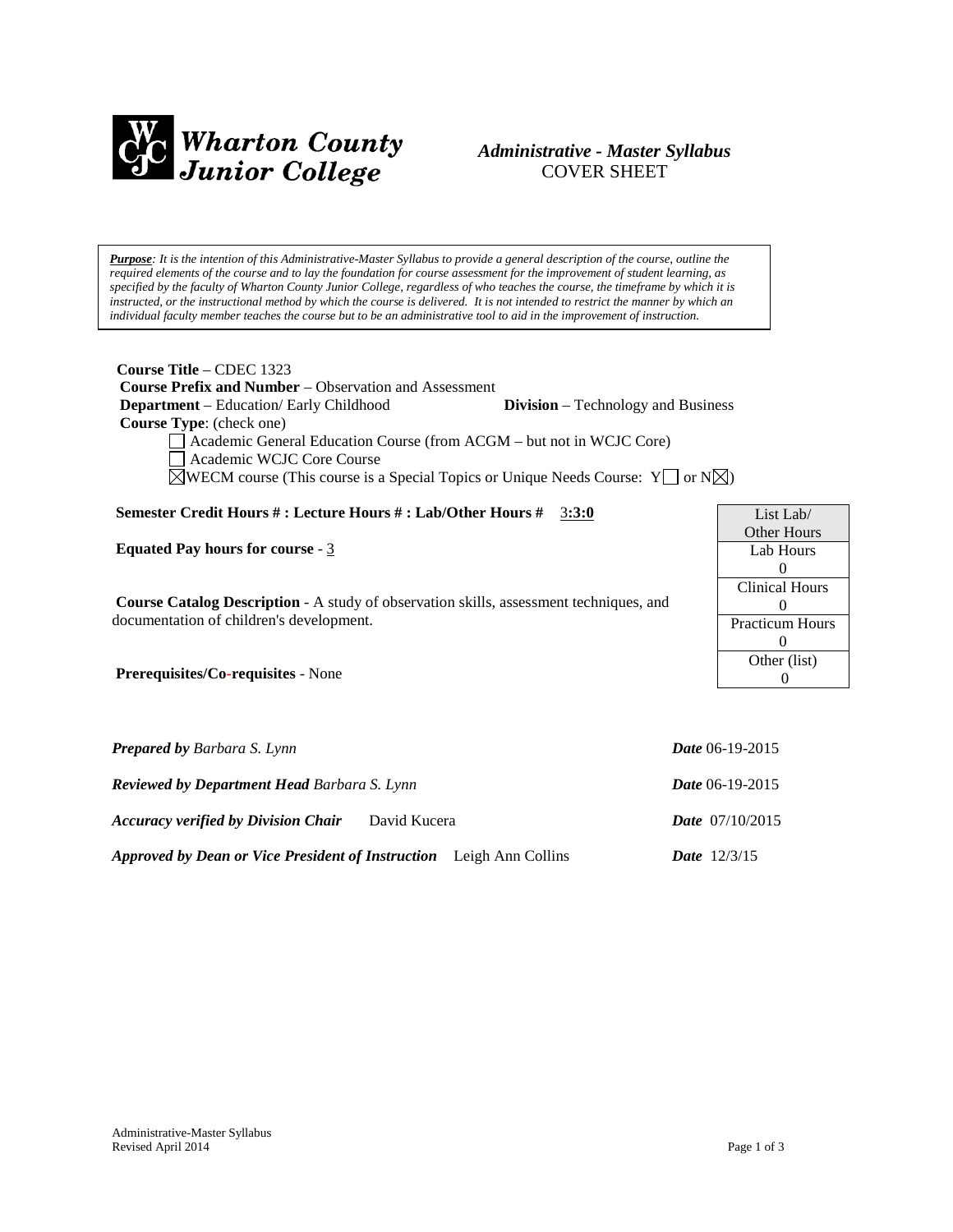

# *Administrative - Master Syllabus*  COVER SHEET

*Purpose: It is the intention of this Administrative-Master Syllabus to provide a general description of the course, outline the required elements of the course and to lay the foundation for course assessment for the improvement of student learning, as specified by the faculty of Wharton County Junior College, regardless of who teaches the course, the timeframe by which it is instructed, or the instructional method by which the course is delivered. It is not intended to restrict the manner by which an individual faculty member teaches the course but to be an administrative tool to aid in the improvement of instruction.*

**Course Title** – CDEC 1323  **Course Prefix and Number** – Observation and Assessment  **Department** – Education/ Early Childhood **Division** – Technology and Business  **Course Type**: (check one) Academic General Education Course (from ACGM – but not in WCJC Core) Academic WCJC Core Course

 $\boxtimes$ WECM course (This course is a Special Topics or Unique Needs Course: Y  $\Box$  or N $\boxtimes$ )

### **Semester Credit Hours # : Lecture Hours # : Lab/Other Hours #** 3**:3:0**

**Equated Pay hours for course** - 3

**Course Catalog Description** - A study of observation skills, assessment techniques, and documentation of children's development.

**Prerequisites/Co-requisites** - None

| <b>Prepared by Barbara S. Lynn</b>                                         | <b>Date</b> 06-19-2015   |
|----------------------------------------------------------------------------|--------------------------|
| <b>Reviewed by Department Head Barbara S. Lynn</b>                         | <i>Date</i> 06-19-2015   |
| <b>Accuracy verified by Division Chair</b><br>David Kucera                 | <b>Date</b> $07/10/2015$ |
| <i>Approved by Dean or Vice President of Instruction</i> Leigh Ann Collins | <b>Date</b> $12/3/15$    |

List Lab/ Other Hours Lab Hours  $\Omega$ Clinical Hours  $\Omega$ Practicum Hours 0 Other (list) 0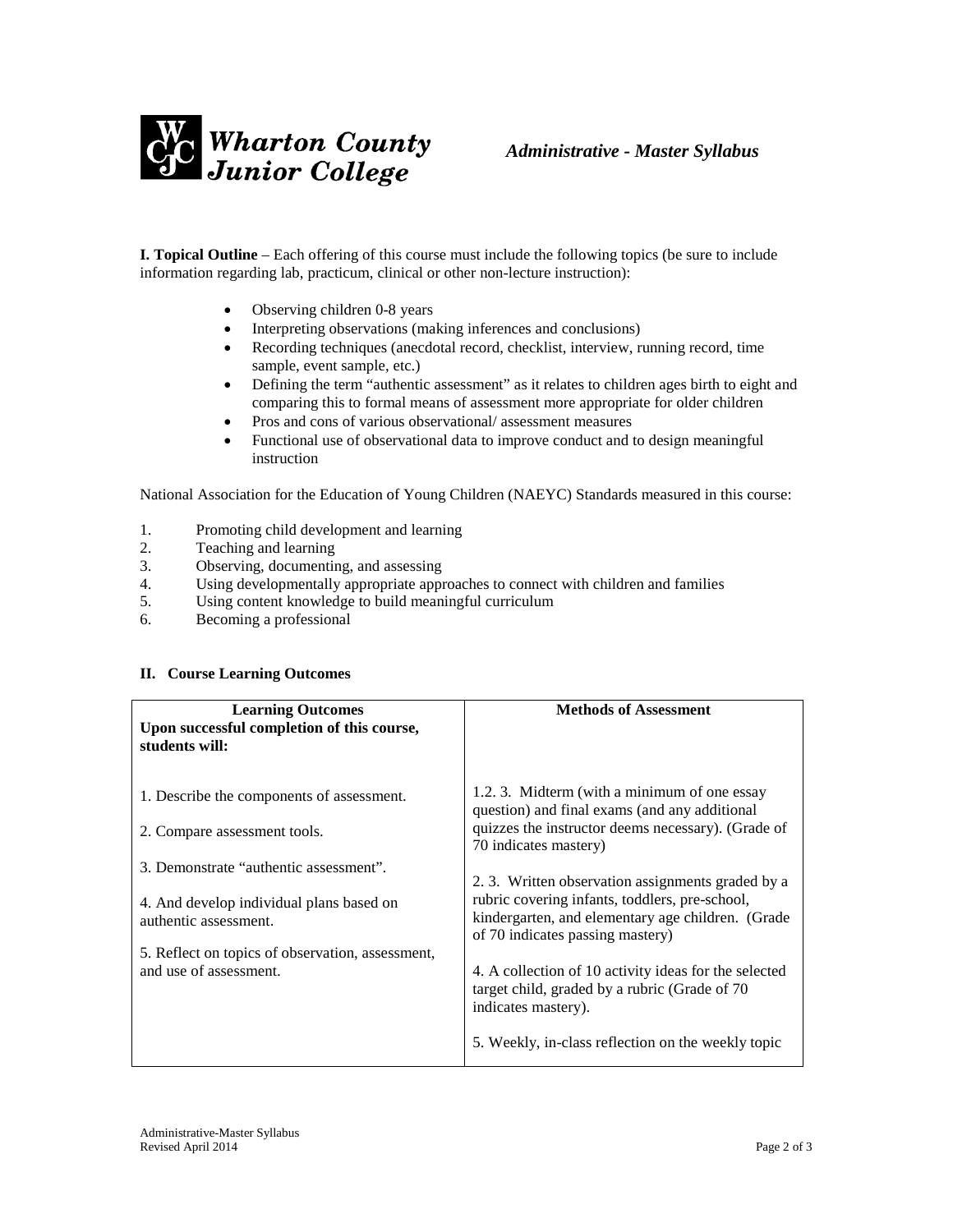

**I. Topical Outline** – Each offering of this course must include the following topics (be sure to include information regarding lab, practicum, clinical or other non-lecture instruction):

- Observing children 0-8 years
- Interpreting observations (making inferences and conclusions)
- Recording techniques (anecdotal record, checklist, interview, running record, time sample, event sample, etc.)
- Defining the term "authentic assessment" as it relates to children ages birth to eight and comparing this to formal means of assessment more appropriate for older children
- Pros and cons of various observational/ assessment measures
- Functional use of observational data to improve conduct and to design meaningful instruction

National Association for the Education of Young Children (NAEYC) Standards measured in this course:

- 1. Promoting child development and learning<br>2. Teaching and learning
- Teaching and learning
- 3. Observing, documenting, and assessing
- 4. Using developmentally appropriate approaches to connect with children and families
- 5. Using content knowledge to build meaningful curriculum
- 6. Becoming a professional

### **II. Course Learning Outcomes**

| <b>Learning Outcomes</b><br>Upon successful completion of this course,<br>students will:                    | <b>Methods of Assessment</b>                                                                                                                                                                |
|-------------------------------------------------------------------------------------------------------------|---------------------------------------------------------------------------------------------------------------------------------------------------------------------------------------------|
| 1. Describe the components of assessment.<br>2. Compare assessment tools.                                   | 1.2.3. Midterm (with a minimum of one essay<br>question) and final exams (and any additional<br>quizzes the instructor deems necessary). (Grade of<br>70 indicates mastery)                 |
| 3. Demonstrate "authentic assessment".<br>4. And develop individual plans based on<br>authentic assessment. | 2.3. Written observation assignments graded by a<br>rubric covering infants, toddlers, pre-school,<br>kindergarten, and elementary age children. (Grade<br>of 70 indicates passing mastery) |
| 5. Reflect on topics of observation, assessment,<br>and use of assessment.                                  | 4. A collection of 10 activity ideas for the selected<br>target child, graded by a rubric (Grade of 70<br>indicates mastery).<br>5. Weekly, in-class reflection on the weekly topic         |